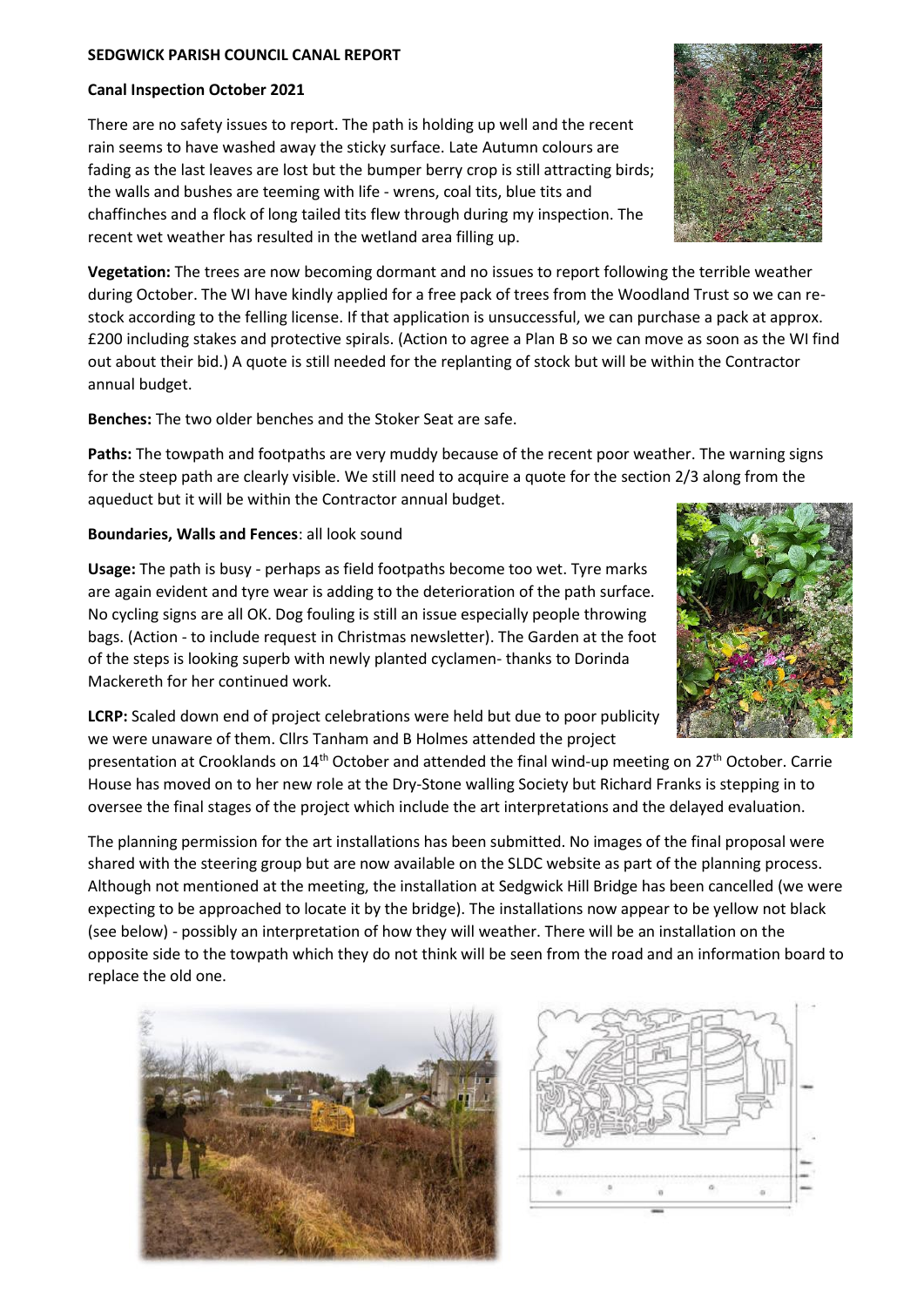## **SEDGWICK PARISH COUNCIL CANAL REPORT**

## **Canal Inspection October 2021**

There are no safety issues to report. The path is holding up well and the recent rain seems to have washed away the sticky surface. Late Autumn colours are fading as the last leaves are lost but the bumper berry crop is still attracting birds; the walls and bushes are teeming with life - wrens, coal tits, blue tits and chaffinches and a flock of long tailed tits flew through during my inspection. The recent wet weather has resulted in the wetland area filling up.

**Vegetation:** The trees are now becoming dormant and no issues to report following the terrible weather during October. The WI have kindly applied for a free pack of trees from the Woodland Trust so we can restock according to the felling license. If that application is unsuccessful, we can purchase a pack at approx. £200 including stakes and protective spirals. (Action to agree a Plan B so we can move as soon as the WI find out about their bid.) A quote is still needed for the replanting of stock but will be within the Contractor annual budget.

**Benches:** The two older benches and the Stoker Seat are safe.

**Paths:** The towpath and footpaths are very muddy because of the recent poor weather. The warning signs for the steep path are clearly visible. We still need to acquire a quote for the section 2/3 along from the aqueduct but it will be within the Contractor annual budget.

## **Boundaries, Walls and Fences**: all look sound

**Usage:** The path is busy - perhaps as field footpaths become too wet. Tyre marks are again evident and tyre wear is adding to the deterioration of the path surface. No cycling signs are all OK. Dog fouling is still an issue especially people throwing bags. (Action - to include request in Christmas newsletter). The Garden at the foot of the steps is looking superb with newly planted cyclamen- thanks to Dorinda Mackereth for her continued work.

**LCRP:** Scaled down end of project celebrations were held but due to poor publicity we were unaware of them. Cllrs Tanham and B Holmes attended the project

presentation at Crooklands on 14<sup>th</sup> October and attended the final wind-up meeting on 27<sup>th</sup> October. Carrie House has moved on to her new role at the Dry-Stone walling Society but Richard Franks is stepping in to oversee the final stages of the project which include the art interpretations and the delayed evaluation.

The planning permission for the art installations has been submitted. No images of the final proposal were shared with the steering group but are now available on the SLDC website as part of the planning process. Although not mentioned at the meeting, the installation at Sedgwick Hill Bridge has been cancelled (we were expecting to be approached to locate it by the bridge). The installations now appear to be yellow not black (see below) - possibly an interpretation of how they will weather. There will be an installation on the opposite side to the towpath which they do not think will be seen from the road and an information board to replace the old one.